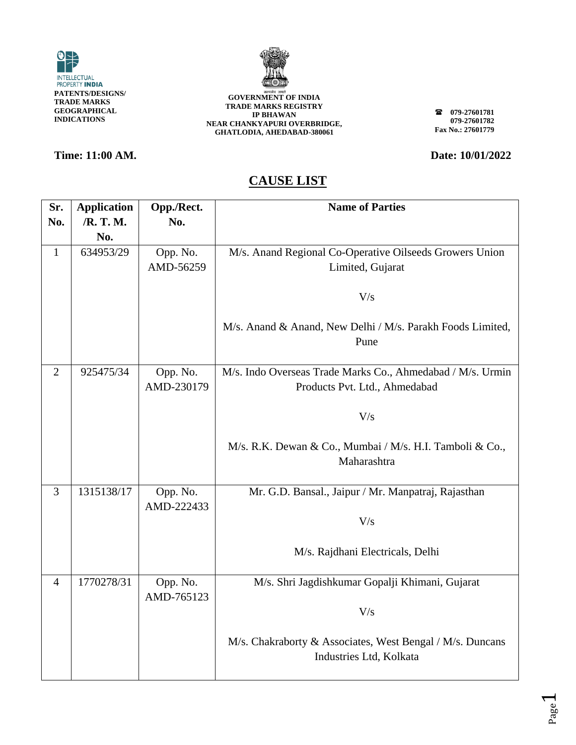



### **Time: 11:00 AM. Date: 10/01/2022**

**079-27601781 079-27601782 Fax No.: 27601779**

| Sr.            | <b>Application</b> | Opp./Rect.             | <b>Name of Parties</b>                                                                      |
|----------------|--------------------|------------------------|---------------------------------------------------------------------------------------------|
| No.            | /R. T. M.          | No.                    |                                                                                             |
|                | No.                |                        |                                                                                             |
| $\mathbf{1}$   | 634953/29          | Opp. No.               | M/s. Anand Regional Co-Operative Oilseeds Growers Union                                     |
|                |                    | AMD-56259              | Limited, Gujarat                                                                            |
|                |                    |                        | V/s                                                                                         |
|                |                    |                        | M/s. Anand & Anand, New Delhi / M/s. Parakh Foods Limited,<br>Pune                          |
| $\overline{2}$ | 925475/34          | Opp. No.<br>AMD-230179 | M/s. Indo Overseas Trade Marks Co., Ahmedabad / M/s. Urmin<br>Products Pvt. Ltd., Ahmedabad |
|                |                    |                        | V/s                                                                                         |
|                |                    |                        | M/s. R.K. Dewan & Co., Mumbai / M/s. H.I. Tamboli & Co.,<br>Maharashtra                     |
| $\overline{3}$ | 1315138/17         | Opp. No.<br>AMD-222433 | Mr. G.D. Bansal., Jaipur / Mr. Manpatraj, Rajasthan                                         |
|                |                    |                        | V/s                                                                                         |
|                |                    |                        | M/s. Rajdhani Electricals, Delhi                                                            |
| $\overline{4}$ | 1770278/31         | Opp. No.<br>AMD-765123 | M/s. Shri Jagdishkumar Gopalji Khimani, Gujarat                                             |
|                |                    |                        | V/s                                                                                         |
|                |                    |                        | M/s. Chakraborty & Associates, West Bengal / M/s. Duncans<br>Industries Ltd, Kolkata        |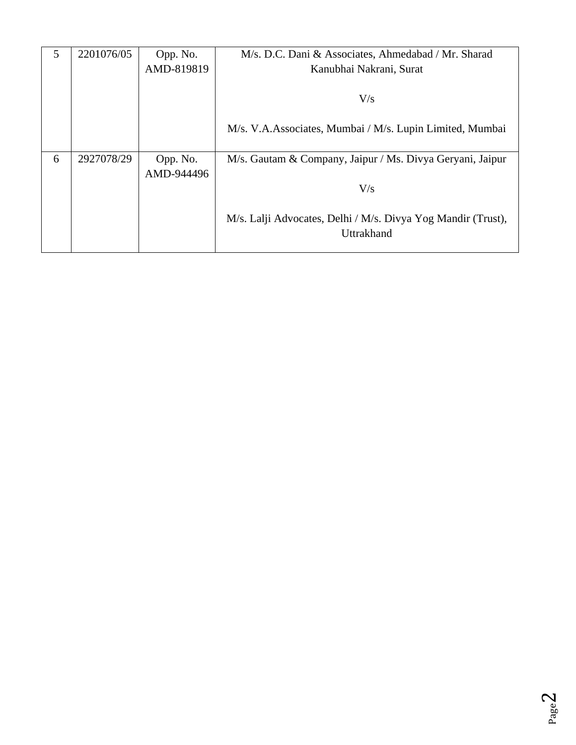| 5 | 2201076/05 | Opp. No.   | M/s. D.C. Dani & Associates, Ahmedabad / Mr. Sharad          |
|---|------------|------------|--------------------------------------------------------------|
|   |            | AMD-819819 | Kanubhai Nakrani, Surat                                      |
|   |            |            |                                                              |
|   |            |            | V/s                                                          |
|   |            |            | M/s. V.A.Associates, Mumbai / M/s. Lupin Limited, Mumbai     |
| 6 | 2927078/29 | Opp. No.   | M/s. Gautam & Company, Jaipur / Ms. Divya Geryani, Jaipur    |
|   |            | AMD-944496 |                                                              |
|   |            |            | V/s                                                          |
|   |            |            |                                                              |
|   |            |            | M/s. Lalji Advocates, Delhi / M/s. Divya Yog Mandir (Trust), |
|   |            |            | Uttrakhand                                                   |
|   |            |            |                                                              |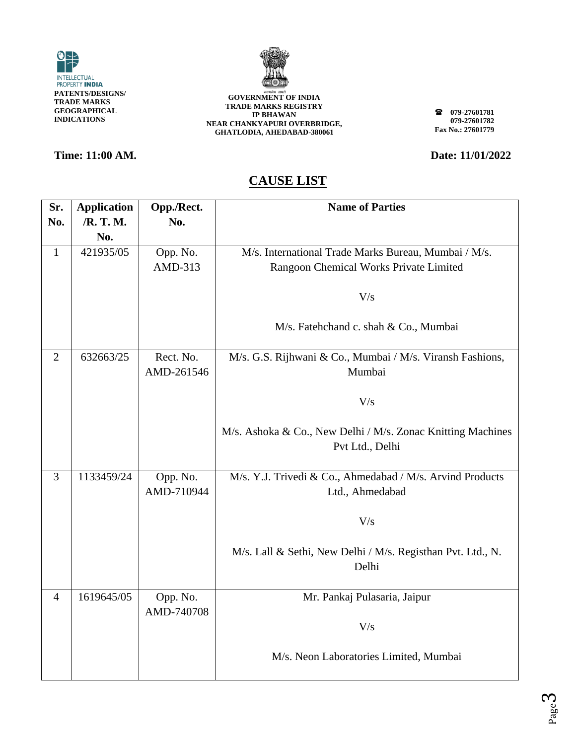



### **Time: 11:00 AM. Date: 11/01/2022**

**079-27601781 079-27601782 Fax No.: 27601779**

| Sr.            | <b>Application</b> | Opp./Rect.              | <b>Name of Parties</b>                                                         |
|----------------|--------------------|-------------------------|--------------------------------------------------------------------------------|
| No.            | /R. T. M.          | No.                     |                                                                                |
|                | No.                |                         |                                                                                |
| $\mathbf{1}$   | 421935/05          | Opp. No.                | M/s. International Trade Marks Bureau, Mumbai / M/s.                           |
|                |                    | AMD-313                 | Rangoon Chemical Works Private Limited                                         |
|                |                    |                         | V/s                                                                            |
|                |                    |                         | M/s. Fatehchand c. shah & Co., Mumbai                                          |
| $\overline{2}$ | 632663/25          | Rect. No.<br>AMD-261546 | M/s. G.S. Rijhwani & Co., Mumbai / M/s. Viransh Fashions,<br>Mumbai            |
|                |                    |                         | V/s                                                                            |
|                |                    |                         | M/s. Ashoka & Co., New Delhi / M/s. Zonac Knitting Machines<br>Pvt Ltd., Delhi |
| 3              | 1133459/24         | Opp. No.                | M/s. Y.J. Trivedi & Co., Ahmedabad / M/s. Arvind Products                      |
|                |                    | AMD-710944              | Ltd., Ahmedabad                                                                |
|                |                    |                         | V/s                                                                            |
|                |                    |                         | M/s. Lall & Sethi, New Delhi / M/s. Registhan Pvt. Ltd., N.<br>Delhi           |
|                |                    |                         |                                                                                |
| $\overline{4}$ | 1619645/05         | Opp. No.                | Mr. Pankaj Pulasaria, Jaipur                                                   |
|                |                    | AMD-740708              | V/s                                                                            |
|                |                    |                         |                                                                                |
|                |                    |                         | M/s. Neon Laboratories Limited, Mumbai                                         |
|                |                    |                         |                                                                                |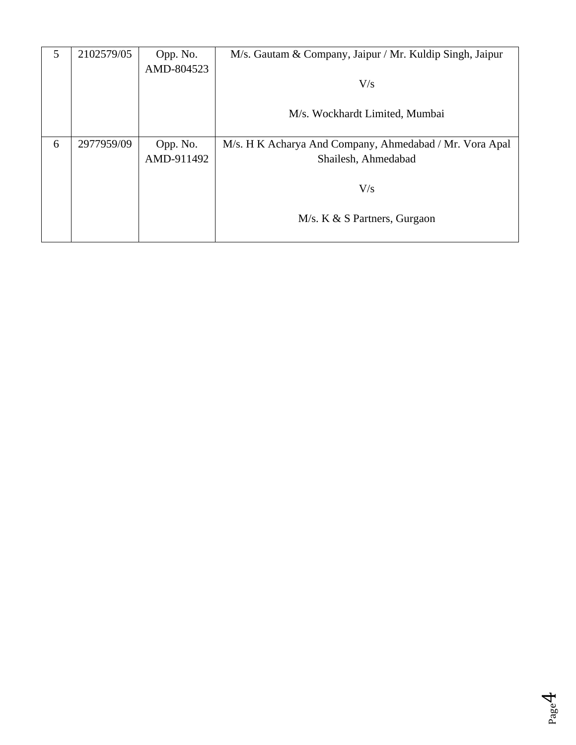| 5 | 2102579/05 | Opp. No.   | M/s. Gautam & Company, Jaipur / Mr. Kuldip Singh, Jaipur |
|---|------------|------------|----------------------------------------------------------|
|   |            | AMD-804523 |                                                          |
|   |            |            | V/s                                                      |
|   |            |            |                                                          |
|   |            |            | M/s. Wockhardt Limited, Mumbai                           |
|   |            |            |                                                          |
| 6 | 2977959/09 | Opp. No.   | M/s. H K Acharya And Company, Ahmedabad / Mr. Vora Apal  |
|   |            | AMD-911492 | Shailesh, Ahmedabad                                      |
|   |            |            |                                                          |
|   |            |            | V/s                                                      |
|   |            |            |                                                          |
|   |            |            | $M/s. K & S$ Partners, Gurgaon                           |
|   |            |            |                                                          |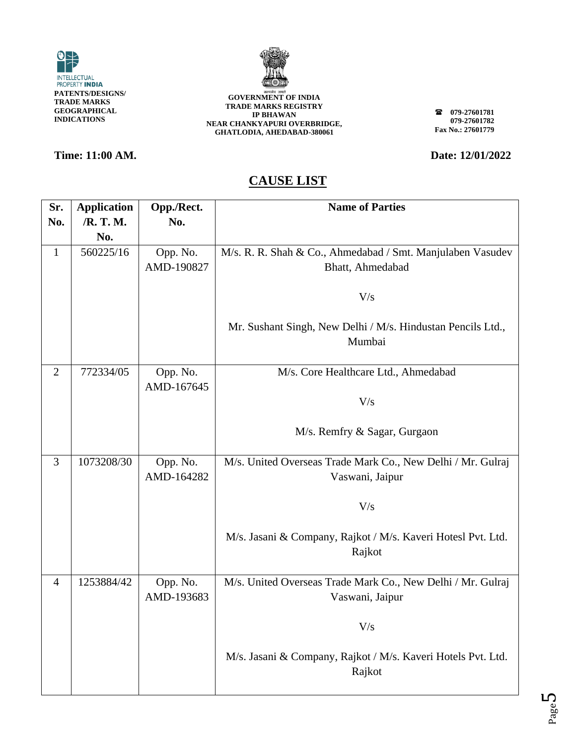



**079-27601781 079-27601782 Fax No.: 27601779**

## **Time: 11:00 AM. Date: 12/01/2022**

| Sr.            | <b>Application</b> | Opp./Rect. | <b>Name of Parties</b>                                       |
|----------------|--------------------|------------|--------------------------------------------------------------|
| No.            | /R. T. M.          | No.        |                                                              |
|                | No.                |            |                                                              |
| $\mathbf{1}$   | 560225/16          | Opp. No.   | M/s. R. R. Shah & Co., Ahmedabad / Smt. Manjulaben Vasudev   |
|                |                    | AMD-190827 | Bhatt, Ahmedabad                                             |
|                |                    |            |                                                              |
|                |                    |            | V/s                                                          |
|                |                    |            |                                                              |
|                |                    |            | Mr. Sushant Singh, New Delhi / M/s. Hindustan Pencils Ltd.,  |
|                |                    |            | Mumbai                                                       |
|                |                    |            |                                                              |
| $\overline{2}$ | 772334/05          | Opp. No.   | M/s. Core Healthcare Ltd., Ahmedabad                         |
|                |                    | AMD-167645 |                                                              |
|                |                    |            | V/s                                                          |
|                |                    |            |                                                              |
|                |                    |            | M/s. Remfry & Sagar, Gurgaon                                 |
| 3              | 1073208/30         | Opp. No.   | M/s. United Overseas Trade Mark Co., New Delhi / Mr. Gulraj  |
|                |                    | AMD-164282 | Vaswani, Jaipur                                              |
|                |                    |            |                                                              |
|                |                    |            | V/s                                                          |
|                |                    |            |                                                              |
|                |                    |            | M/s. Jasani & Company, Rajkot / M/s. Kaveri Hotesl Pvt. Ltd. |
|                |                    |            | Rajkot                                                       |
|                |                    |            |                                                              |
| $\overline{4}$ | 1253884/42         | Opp. No.   | M/s. United Overseas Trade Mark Co., New Delhi / Mr. Gulraj  |
|                |                    | AMD-193683 | Vaswani, Jaipur                                              |
|                |                    |            |                                                              |
|                |                    |            | V/s                                                          |
|                |                    |            |                                                              |
|                |                    |            | M/s. Jasani & Company, Rajkot / M/s. Kaveri Hotels Pvt. Ltd. |
|                |                    |            | Rajkot                                                       |
|                |                    |            |                                                              |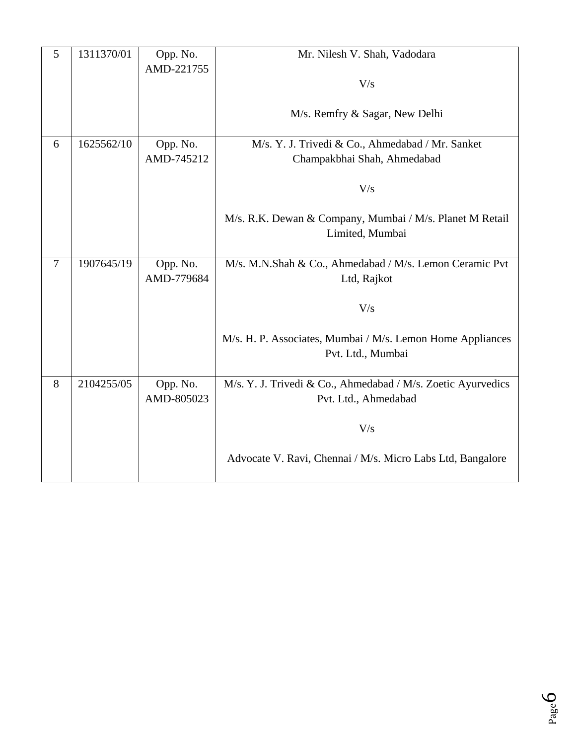| 5              | 1311370/01 | Opp. No.   | Mr. Nilesh V. Shah, Vadodara                                 |
|----------------|------------|------------|--------------------------------------------------------------|
|                |            | AMD-221755 |                                                              |
|                |            |            | V/s                                                          |
|                |            |            |                                                              |
|                |            |            | M/s. Remfry & Sagar, New Delhi                               |
|                |            |            |                                                              |
| 6              | 1625562/10 | Opp. No.   | M/s. Y. J. Trivedi & Co., Ahmedabad / Mr. Sanket             |
|                |            | AMD-745212 | Champakbhai Shah, Ahmedabad                                  |
|                |            |            |                                                              |
|                |            |            | V/s                                                          |
|                |            |            |                                                              |
|                |            |            | M/s. R.K. Dewan & Company, Mumbai / M/s. Planet M Retail     |
|                |            |            | Limited, Mumbai                                              |
| $\overline{7}$ | 1907645/19 | Opp. No.   | M/s. M.N.Shah & Co., Ahmedabad / M/s. Lemon Ceramic Pvt      |
|                |            | AMD-779684 | Ltd, Rajkot                                                  |
|                |            |            |                                                              |
|                |            |            | V/s                                                          |
|                |            |            |                                                              |
|                |            |            | M/s. H. P. Associates, Mumbai / M/s. Lemon Home Appliances   |
|                |            |            | Pvt. Ltd., Mumbai                                            |
|                |            |            |                                                              |
| 8              | 2104255/05 | Opp. No.   | M/s. Y. J. Trivedi & Co., Ahmedabad / M/s. Zoetic Ayurvedics |
|                |            | AMD-805023 | Pvt. Ltd., Ahmedabad                                         |
|                |            |            |                                                              |
|                |            |            | V/s                                                          |
|                |            |            |                                                              |
|                |            |            | Advocate V. Ravi, Chennai / M/s. Micro Labs Ltd, Bangalore   |
|                |            |            |                                                              |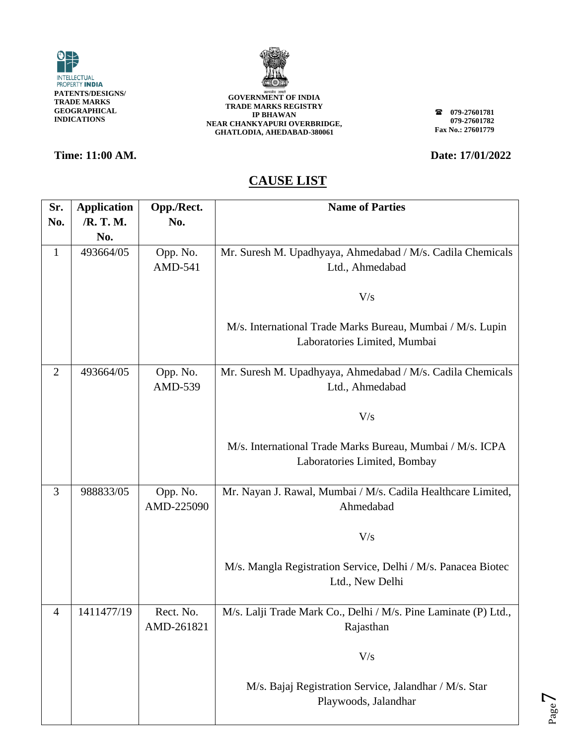



**079-27601781 079-27601782 Fax No.: 27601779**

### **Time: 11:00 AM. Date: 17/01/2022**

Page  $\blacktriangleright$ 

| Sr.            | <b>Application</b> | Opp./Rect. | <b>Name of Parties</b>                                          |
|----------------|--------------------|------------|-----------------------------------------------------------------|
| No.            | /R. T. M.          | No.        |                                                                 |
|                | No.                |            |                                                                 |
| $\mathbf{1}$   | 493664/05          | Opp. No.   | Mr. Suresh M. Upadhyaya, Ahmedabad / M/s. Cadila Chemicals      |
|                |                    | AMD-541    | Ltd., Ahmedabad                                                 |
|                |                    |            |                                                                 |
|                |                    |            | V/s                                                             |
|                |                    |            |                                                                 |
|                |                    |            | M/s. International Trade Marks Bureau, Mumbai / M/s. Lupin      |
|                |                    |            | Laboratories Limited, Mumbai                                    |
|                |                    |            |                                                                 |
| $\overline{2}$ | 493664/05          | Opp. No.   | Mr. Suresh M. Upadhyaya, Ahmedabad / M/s. Cadila Chemicals      |
|                |                    | AMD-539    | Ltd., Ahmedabad                                                 |
|                |                    |            |                                                                 |
|                |                    |            | V/s                                                             |
|                |                    |            |                                                                 |
|                |                    |            | M/s. International Trade Marks Bureau, Mumbai / M/s. ICPA       |
|                |                    |            | Laboratories Limited, Bombay                                    |
|                |                    |            |                                                                 |
| 3              | 988833/05          | Opp. No.   | Mr. Nayan J. Rawal, Mumbai / M/s. Cadila Healthcare Limited,    |
|                |                    | AMD-225090 | Ahmedabad                                                       |
|                |                    |            |                                                                 |
|                |                    |            | V/s                                                             |
|                |                    |            |                                                                 |
|                |                    |            | M/s. Mangla Registration Service, Delhi / M/s. Panacea Biotec   |
|                |                    |            | Ltd., New Delhi                                                 |
|                |                    |            |                                                                 |
| $\overline{4}$ | 1411477/19         | Rect. No.  | M/s. Lalji Trade Mark Co., Delhi / M/s. Pine Laminate (P) Ltd., |
|                |                    | AMD-261821 | Rajasthan                                                       |
|                |                    |            |                                                                 |
|                |                    |            | V/s                                                             |
|                |                    |            |                                                                 |
|                |                    |            | M/s. Bajaj Registration Service, Jalandhar / M/s. Star          |
|                |                    |            | Playwoods, Jalandhar                                            |
|                |                    |            |                                                                 |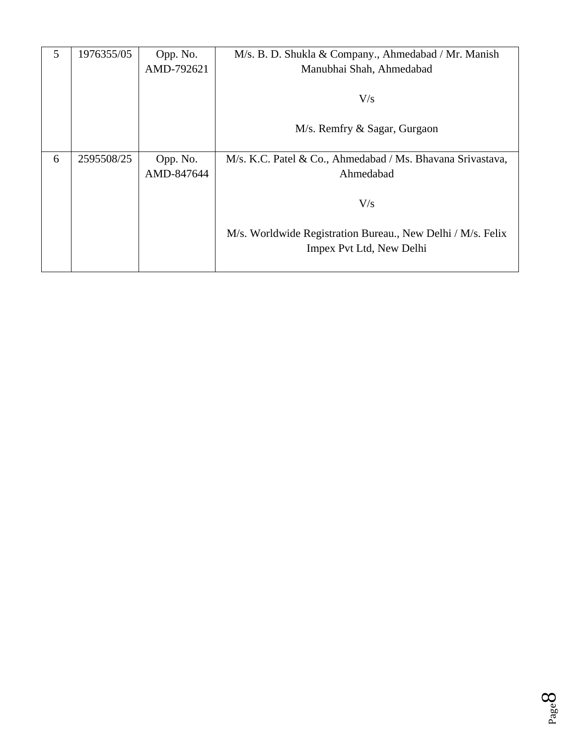| 5 | 1976355/05 | Opp. No.   | M/s. B. D. Shukla & Company., Ahmedabad / Mr. Manish        |
|---|------------|------------|-------------------------------------------------------------|
|   |            | AMD-792621 | Manubhai Shah, Ahmedabad                                    |
|   |            |            |                                                             |
|   |            |            | V/s                                                         |
|   |            |            |                                                             |
|   |            |            | M/s. Remfry & Sagar, Gurgaon                                |
|   |            |            |                                                             |
| 6 | 2595508/25 | Opp. No.   | M/s. K.C. Patel & Co., Ahmedabad / Ms. Bhavana Srivastava,  |
|   |            | AMD-847644 | Ahmedabad                                                   |
|   |            |            |                                                             |
|   |            |            | V/s                                                         |
|   |            |            |                                                             |
|   |            |            | M/s. Worldwide Registration Bureau., New Delhi / M/s. Felix |
|   |            |            | Impex Pvt Ltd, New Delhi                                    |
|   |            |            |                                                             |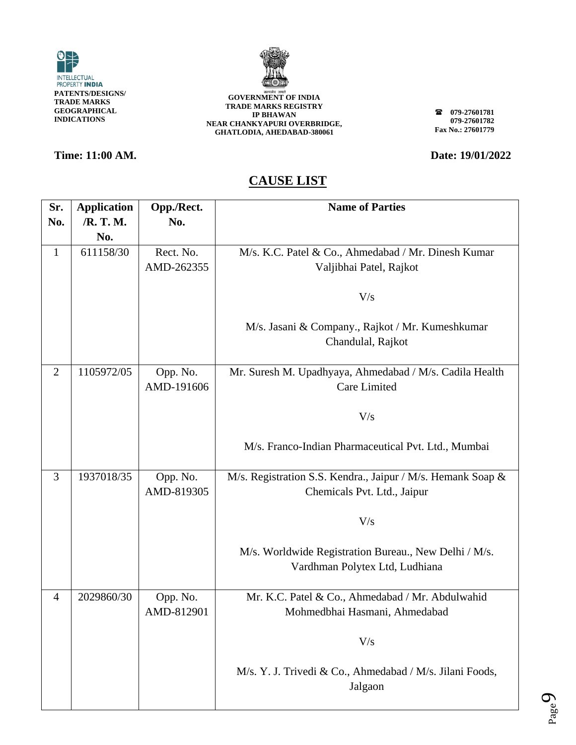



### **Time: 11:00 AM. Date: 19/01/2022**

**079-27601781 079-27601782 Fax No.: 27601779**

Page  $\sigma$ 

| Sr.            | <b>Application</b> | Opp./Rect. | <b>Name of Parties</b>                                      |
|----------------|--------------------|------------|-------------------------------------------------------------|
| No.            | /R. T. M.          | No.        |                                                             |
|                | No.                |            |                                                             |
| $\mathbf{1}$   | 611158/30          | Rect. No.  | M/s. K.C. Patel & Co., Ahmedabad / Mr. Dinesh Kumar         |
|                |                    | AMD-262355 | Valjibhai Patel, Rajkot                                     |
|                |                    |            |                                                             |
|                |                    |            | V/s                                                         |
|                |                    |            |                                                             |
|                |                    |            | M/s. Jasani & Company., Rajkot / Mr. Kumeshkumar            |
|                |                    |            | Chandulal, Rajkot                                           |
|                |                    |            |                                                             |
| $\overline{2}$ | 1105972/05         | Opp. No.   | Mr. Suresh M. Upadhyaya, Ahmedabad / M/s. Cadila Health     |
|                |                    | AMD-191606 | Care Limited                                                |
|                |                    |            |                                                             |
|                |                    |            | V/s                                                         |
|                |                    |            |                                                             |
|                |                    |            | M/s. Franco-Indian Pharmaceutical Pvt. Ltd., Mumbai         |
| $\overline{3}$ | 1937018/35         | Opp. No.   | M/s. Registration S.S. Kendra., Jaipur / M/s. Hemank Soap & |
|                |                    | AMD-819305 | Chemicals Pvt. Ltd., Jaipur                                 |
|                |                    |            |                                                             |
|                |                    |            | V/s                                                         |
|                |                    |            |                                                             |
|                |                    |            | M/s. Worldwide Registration Bureau., New Delhi / M/s.       |
|                |                    |            | Vardhman Polytex Ltd, Ludhiana                              |
|                |                    |            |                                                             |
| $\overline{4}$ | 2029860/30         | Opp. No.   | Mr. K.C. Patel & Co., Ahmedabad / Mr. Abdulwahid            |
|                |                    | AMD-812901 | Mohmedbhai Hasmani, Ahmedabad                               |
|                |                    |            |                                                             |
|                |                    |            | V/s                                                         |
|                |                    |            |                                                             |
|                |                    |            | M/s. Y. J. Trivedi & Co., Ahmedabad / M/s. Jilani Foods,    |
|                |                    |            | Jalgaon                                                     |
|                |                    |            |                                                             |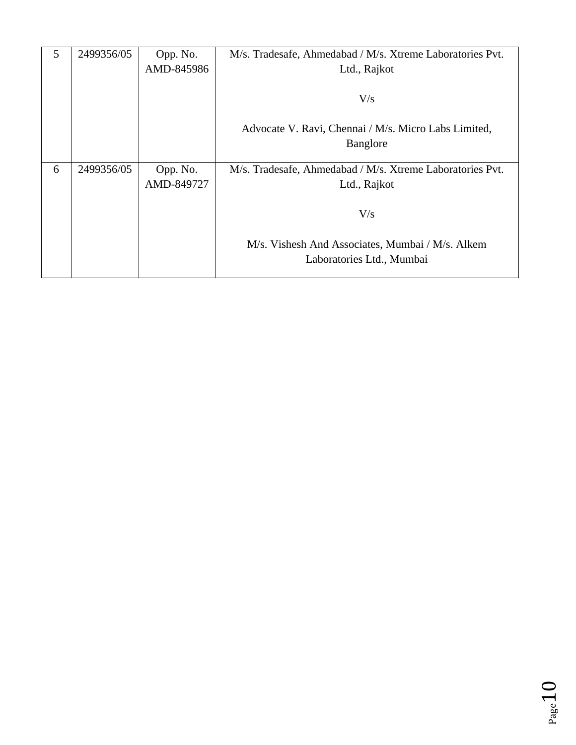| 5 | 2499356/05 | Opp. No.   | M/s. Tradesafe, Ahmedabad / M/s. Xtreme Laboratories Pvt. |
|---|------------|------------|-----------------------------------------------------------|
|   |            | AMD-845986 | Ltd., Rajkot                                              |
|   |            |            |                                                           |
|   |            |            | V/s                                                       |
|   |            |            |                                                           |
|   |            |            | Advocate V. Ravi, Chennai / M/s. Micro Labs Limited,      |
|   |            |            | Banglore                                                  |
|   |            |            |                                                           |
|   |            |            |                                                           |
| 6 | 2499356/05 | Opp. No.   | M/s. Tradesafe, Ahmedabad / M/s. Xtreme Laboratories Pvt. |
|   |            | AMD-849727 | Ltd., Rajkot                                              |
|   |            |            |                                                           |
|   |            |            | V/s                                                       |
|   |            |            |                                                           |
|   |            |            | M/s. Vishesh And Associates, Mumbai / M/s. Alkem          |
|   |            |            | Laboratories Ltd., Mumbai                                 |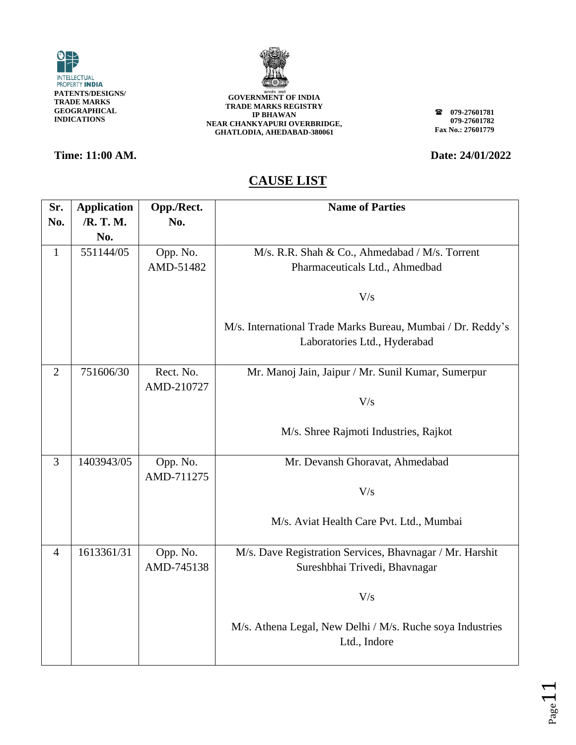



**079-27601781 079-27601782 Fax No.: 27601779**

**Time: 11:00 AM. Date: 24/01/2022** 

| Sr.            | <b>Application</b> | Opp./Rect.              | <b>Name of Parties</b>                                                                      |
|----------------|--------------------|-------------------------|---------------------------------------------------------------------------------------------|
| No.            | /R. T. M.          | No.                     |                                                                                             |
|                | No.                |                         |                                                                                             |
| $\mathbf{1}$   | 551144/05          | Opp. No.                | M/s. R.R. Shah & Co., Ahmedabad / M/s. Torrent                                              |
|                |                    | AMD-51482               | Pharmaceuticals Ltd., Ahmedbad                                                              |
|                |                    |                         | V/s                                                                                         |
|                |                    |                         | M/s. International Trade Marks Bureau, Mumbai / Dr. Reddy's<br>Laboratories Ltd., Hyderabad |
| $\overline{2}$ | 751606/30          | Rect. No.<br>AMD-210727 | Mr. Manoj Jain, Jaipur / Mr. Sunil Kumar, Sumerpur                                          |
|                |                    |                         | V/s                                                                                         |
|                |                    |                         | M/s. Shree Rajmoti Industries, Rajkot                                                       |
| 3              | 1403943/05         | Opp. No.                | Mr. Devansh Ghoravat, Ahmedabad                                                             |
|                |                    | AMD-711275              | V/s                                                                                         |
|                |                    |                         | M/s. Aviat Health Care Pvt. Ltd., Mumbai                                                    |
| $\overline{4}$ | 1613361/31         | Opp. No.<br>AMD-745138  | M/s. Dave Registration Services, Bhavnagar / Mr. Harshit<br>Sureshbhai Trivedi, Bhavnagar   |
|                |                    |                         | V/s                                                                                         |
|                |                    |                         | M/s. Athena Legal, New Delhi / M/s. Ruche soya Industries<br>Ltd., Indore                   |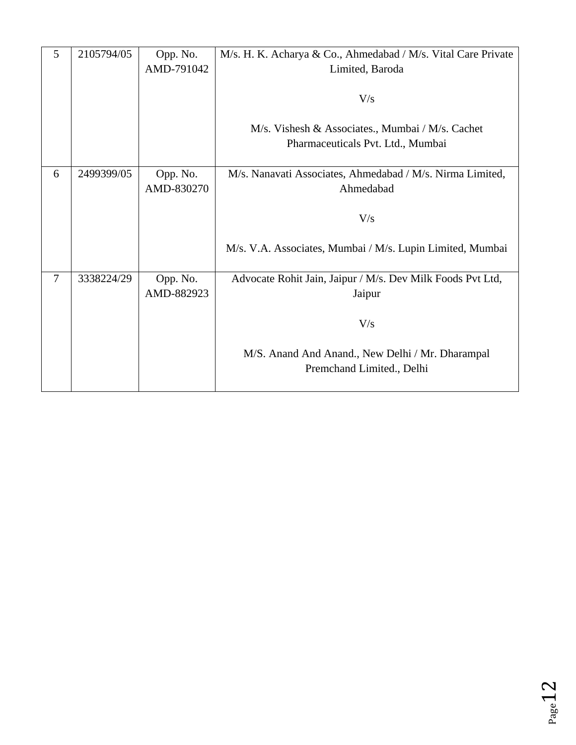| 5      | 2105794/05 | Opp. No.   | M/s. H. K. Acharya & Co., Ahmedabad / M/s. Vital Care Private |
|--------|------------|------------|---------------------------------------------------------------|
|        |            | AMD-791042 | Limited, Baroda                                               |
|        |            |            |                                                               |
|        |            |            | V/s                                                           |
|        |            |            |                                                               |
|        |            |            | M/s. Vishesh & Associates., Mumbai / M/s. Cachet              |
|        |            |            | Pharmaceuticals Pvt. Ltd., Mumbai                             |
|        |            |            |                                                               |
| 6      | 2499399/05 | Opp. No.   | M/s. Nanavati Associates, Ahmedabad / M/s. Nirma Limited,     |
|        |            | AMD-830270 | Ahmedabad                                                     |
|        |            |            |                                                               |
|        |            |            | V/s                                                           |
|        |            |            |                                                               |
|        |            |            | M/s. V.A. Associates, Mumbai / M/s. Lupin Limited, Mumbai     |
|        |            |            |                                                               |
| $\tau$ | 3338224/29 | Opp. No.   | Advocate Rohit Jain, Jaipur / M/s. Dev Milk Foods Pvt Ltd,    |
|        |            | AMD-882923 | Jaipur                                                        |
|        |            |            |                                                               |
|        |            |            | V/s                                                           |
|        |            |            |                                                               |
|        |            |            | M/S. Anand And Anand., New Delhi / Mr. Dharampal              |
|        |            |            | Premchand Limited., Delhi                                     |
|        |            |            |                                                               |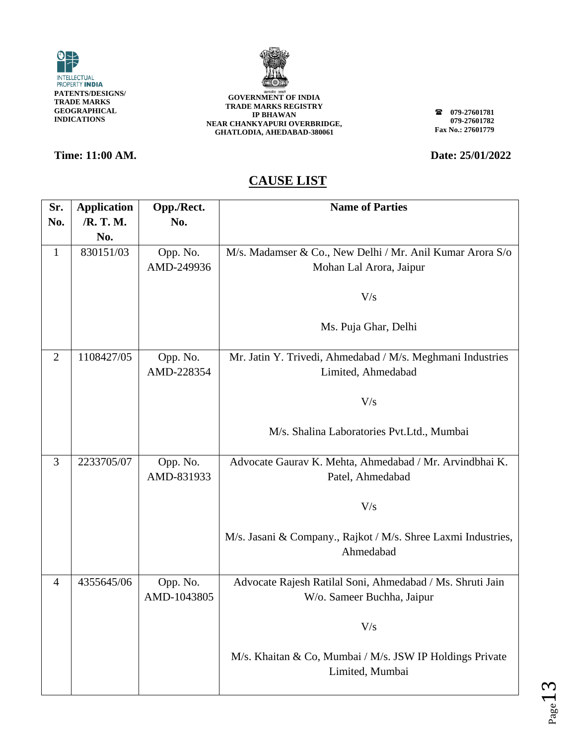



### **Time: 11:00 AM. Date: 25/01/2022**

**079-27601781 079-27601782 Fax No.: 27601779**

| Sr.            | <b>Application</b> | Opp./Rect.  | <b>Name of Parties</b>                                                     |
|----------------|--------------------|-------------|----------------------------------------------------------------------------|
| No.            | /R. T. M.          | No.         |                                                                            |
|                | No.                |             |                                                                            |
| $\mathbf{1}$   | 830151/03          | Opp. No.    | M/s. Madamser & Co., New Delhi / Mr. Anil Kumar Arora S/o                  |
|                |                    | AMD-249936  | Mohan Lal Arora, Jaipur                                                    |
|                |                    |             |                                                                            |
|                |                    |             | V/s                                                                        |
|                |                    |             |                                                                            |
|                |                    |             | Ms. Puja Ghar, Delhi                                                       |
|                |                    |             |                                                                            |
| $\overline{2}$ | 1108427/05         | Opp. No.    | Mr. Jatin Y. Trivedi, Ahmedabad / M/s. Meghmani Industries                 |
|                |                    | AMD-228354  | Limited, Ahmedabad                                                         |
|                |                    |             |                                                                            |
|                |                    |             | V/s                                                                        |
|                |                    |             |                                                                            |
|                |                    |             | M/s. Shalina Laboratories Pvt.Ltd., Mumbai                                 |
|                |                    |             |                                                                            |
| 3              | 2233705/07         | Opp. No.    | Advocate Gaurav K. Mehta, Ahmedabad / Mr. Arvindbhai K.                    |
|                |                    | AMD-831933  | Patel, Ahmedabad                                                           |
|                |                    |             |                                                                            |
|                |                    |             | V/s                                                                        |
|                |                    |             |                                                                            |
|                |                    |             | M/s. Jasani & Company., Rajkot / M/s. Shree Laxmi Industries,<br>Ahmedabad |
|                |                    |             |                                                                            |
| $\overline{4}$ | 4355645/06         | Opp. No.    | Advocate Rajesh Ratilal Soni, Ahmedabad / Ms. Shruti Jain                  |
|                |                    | AMD-1043805 | W/o. Sameer Buchha, Jaipur                                                 |
|                |                    |             |                                                                            |
|                |                    |             | V/s                                                                        |
|                |                    |             |                                                                            |
|                |                    |             | M/s. Khaitan & Co, Mumbai / M/s. JSW IP Holdings Private                   |
|                |                    |             | Limited, Mumbai                                                            |
|                |                    |             |                                                                            |